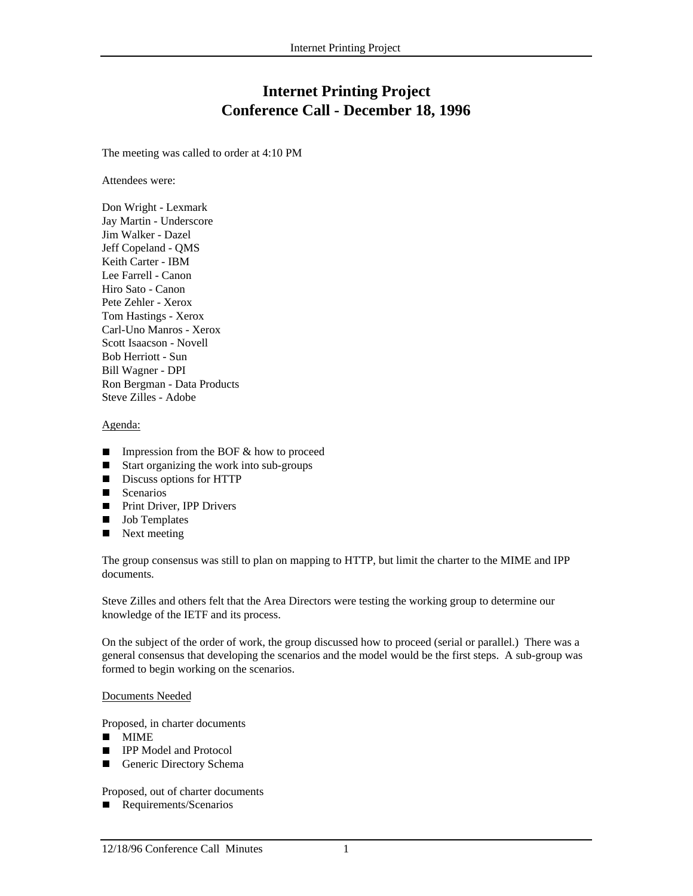# **Internet Printing Project Conference Call - December 18, 1996**

The meeting was called to order at 4:10 PM

Attendees were:

Don Wright - Lexmark Jay Martin - Underscore Jim Walker - Dazel Jeff Copeland - QMS Keith Carter - IBM Lee Farrell - Canon Hiro Sato - Canon Pete Zehler - Xerox Tom Hastings - Xerox Carl-Uno Manros - Xerox Scott Isaacson - Novell Bob Herriott - Sun Bill Wagner - DPI Ron Bergman - Data Products Steve Zilles - Adobe

## Agenda:

- Impression from the BOF  $\&$  how to proceed Start organizing the work into sub-groups
- Start organizing the work into sub-groups
- Discuss options for HTTP
- $S$ cenarios
- Print Driver, IPP Drivers<br>■ Job Templates
- $\blacksquare$  Job Templates
- Next meeting

The group consensus was still to plan on mapping to HTTP, but limit the charter to the MIME and IPP documents.

Steve Zilles and others felt that the Area Directors were testing the working group to determine our knowledge of the IETF and its process.

On the subject of the order of work, the group discussed how to proceed (serial or parallel.) There was a general consensus that developing the scenarios and the model would be the first steps. A sub-group was formed to begin working on the scenarios.

#### Documents Needed

Proposed, in charter documents

- $\blacksquare$  MIME
- **n** IPP Model and Protocol<br>**n** Generic Directory Schen
- Generic Directory Schema

Proposed, out of charter documents

**n** Requirements/Scenarios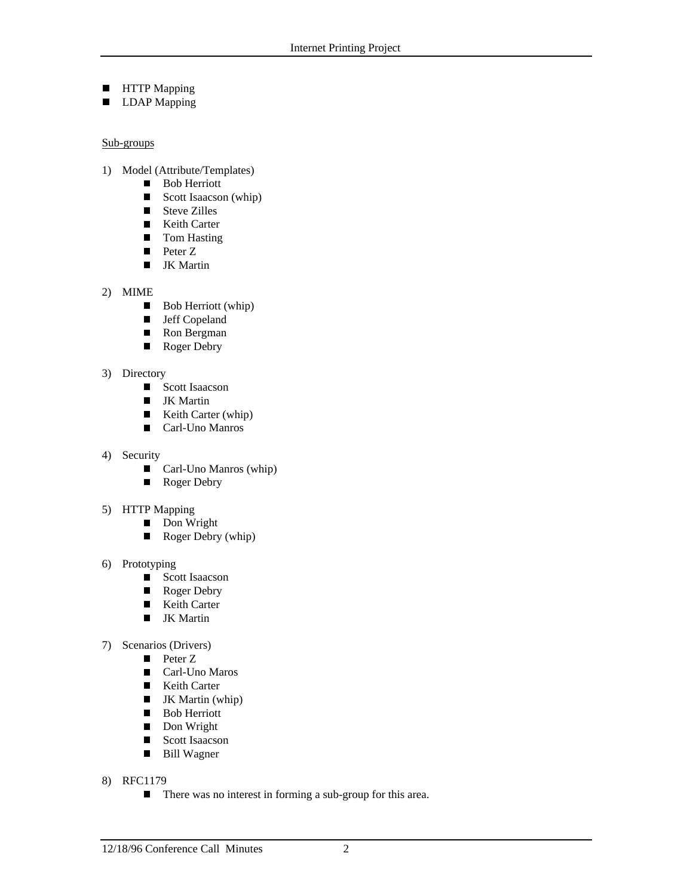- **n** HTTP Mapping
- **n** LDAP Mapping

## Sub-groups

- 1) Model (Attribute/Templates)
	- Bob Herriott<br>■ Scott Isaacso
	- Scott Isaacson (whip)<br>■ Steve Zilles
	- Steve Zilles
	- Keith Carter<br>■ Tom Hasting
	- Tom Hasting
	- **n** Peter Z
	- **IK Martin**
- 2) MIME
	- $\blacksquare$  Bob Herriott (whip)
	- **n** Jeff Copeland
	- Ron Bergman<br>■ Roger Debry
	- Roger Debry
- 3) Directory
	- Scott Isaacson<br>■ IK Martin
	- JK Martin<br>■ Keith Cart
	- Keith Carter (whip)
	- Carl-Uno Manros
- 4) Security
	- Carl-Uno Manros (whip)<br>■ Roger Debry
	- Roger Debry
- 5) HTTP Mapping
	- Don Wright<br>■ Roger Debry
	- Roger Debry (whip)
- 6) Prototyping
	- Scott Isaacson<br>■ Roger Debry
	- Roger Debry<br>■ Keith Carter
	- Keith Carter<br>■ JK Martin
	- **JK** Martin
- 7) Scenarios (Drivers)
	- **n** Peter Z
	- Carl-Uno Maros<br>■ Keith Carter
	- E Keith Carter
	- $\blacksquare$  JK Martin (whip)
	- Bob Herriott
	- Don Wright<br>■ Scott Isaacso
	- Scott Isaacson<br>■ Bill Wagner
	- Bill Wagner
- 8) RFC1179
	- There was no interest in forming a sub-group for this area.